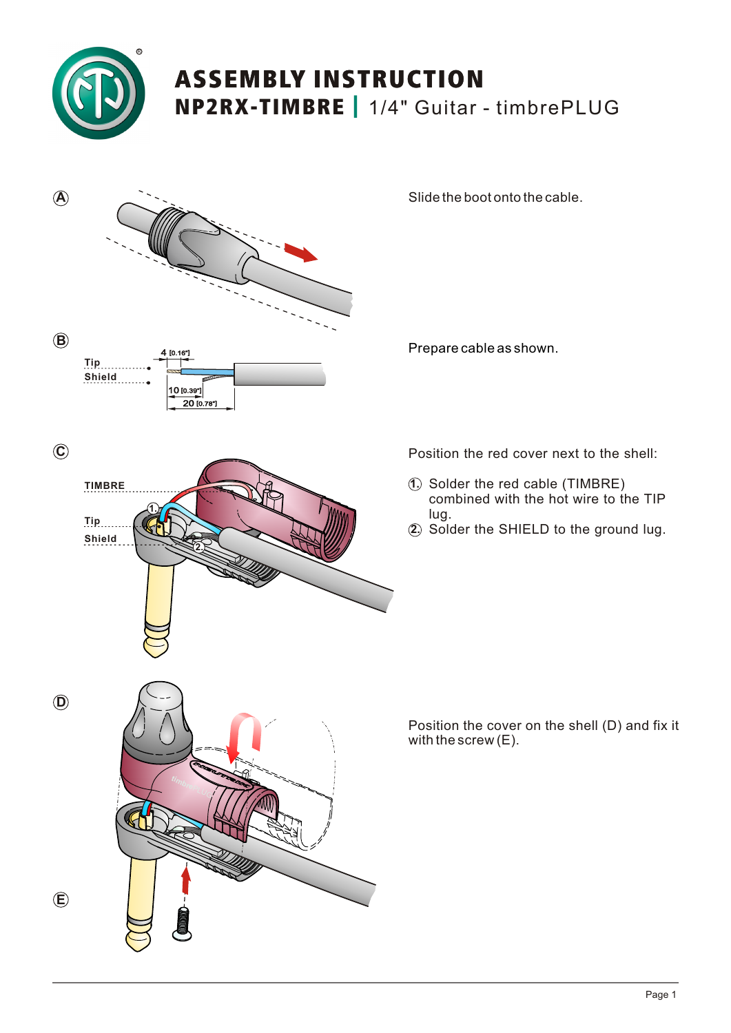

## ASSEMBLY INSTRUCTION NP2RX-TIMBRE *|* 1/4" Guitar - timbrePLUG